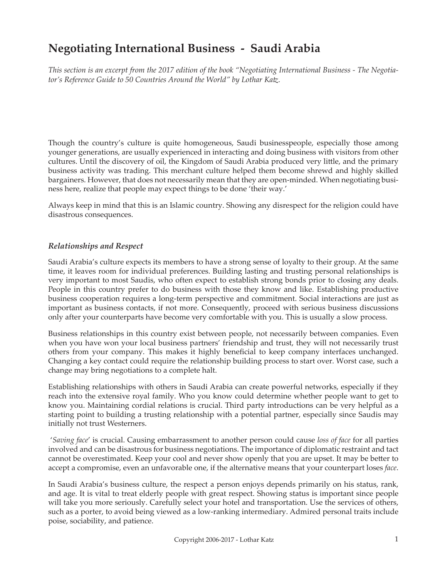# **Negotiating International Business - Saudi Arabia**

*This section is an excerpt from the 2017 edition of the book "Negotiating International Business - The Negotiator's Reference Guide to 50 Countries Around the World" by Lothar Katz.*

Though the country's culture is quite homogeneous, Saudi businesspeople, especially those among younger generations, are usually experienced in interacting and doing business with visitors from other cultures. Until the discovery of oil, the Kingdom of Saudi Arabia produced very little, and the primary business activity was trading. This merchant culture helped them become shrewd and highly skilled bargainers. However, that does not necessarily mean that they are open-minded. When negotiating business here, realize that people may expect things to be done 'their way.'

Always keep in mind that this is an Islamic country. Showing any disrespect for the religion could have disastrous consequences.

### *Relationships and Respect*

Saudi Arabia's culture expects its members to have a strong sense of loyalty to their group. At the same time, it leaves room for individual preferences. Building lasting and trusting personal relationships is very important to most Saudis, who often expect to establish strong bonds prior to closing any deals. People in this country prefer to do business with those they know and like. Establishing productive business cooperation requires a long-term perspective and commitment. Social interactions are just as important as business contacts, if not more. Consequently, proceed with serious business discussions only after your counterparts have become very comfortable with you. This is usually a slow process.

Business relationships in this country exist between people, not necessarily between companies. Even when you have won your local business partners' friendship and trust, they will not necessarily trust others from your company. This makes it highly beneficial to keep company interfaces unchanged. Changing a key contact could require the relationship building process to start over. Worst case, such a change may bring negotiations to a complete halt.

Establishing relationships with others in Saudi Arabia can create powerful networks, especially if they reach into the extensive royal family. Who you know could determine whether people want to get to know you. Maintaining cordial relations is crucial. Third party introductions can be very helpful as a starting point to building a trusting relationship with a potential partner, especially since Saudis may initially not trust Westerners.

 '*Saving face*' is crucial. Causing embarrassment to another person could cause *loss of face* for all parties involved and can be disastrous for business negotiations. The importance of diplomatic restraint and tact cannot be overestimated. Keep your cool and never show openly that you are upset. It may be better to accept a compromise, even an unfavorable one, if the alternative means that your counterpart loses *face*.

In Saudi Arabia's business culture, the respect a person enjoys depends primarily on his status, rank, and age. It is vital to treat elderly people with great respect. Showing status is important since people will take you more seriously. Carefully select your hotel and transportation. Use the services of others, such as a porter, to avoid being viewed as a low-ranking intermediary. Admired personal traits include poise, sociability, and patience.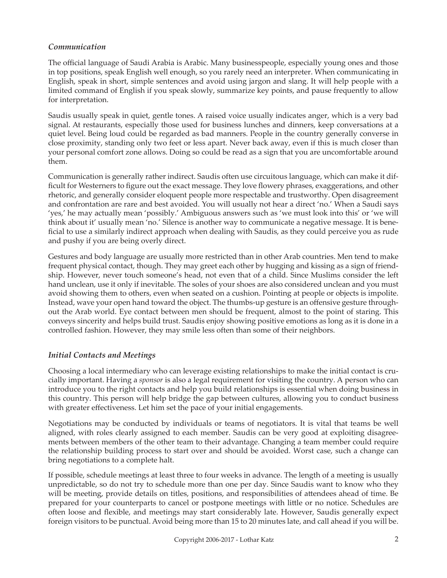### *Communication*

The official language of Saudi Arabia is Arabic. Many businesspeople, especially young ones and those in top positions, speak English well enough, so you rarely need an interpreter. When communicating in English, speak in short, simple sentences and avoid using jargon and slang. It will help people with a limited command of English if you speak slowly, summarize key points, and pause frequently to allow for interpretation.

Saudis usually speak in quiet, gentle tones. A raised voice usually indicates anger, which is a very bad signal. At restaurants, especially those used for business lunches and dinners, keep conversations at a quiet level. Being loud could be regarded as bad manners. People in the country generally converse in close proximity, standing only two feet or less apart. Never back away, even if this is much closer than your personal comfort zone allows. Doing so could be read as a sign that you are uncomfortable around them.

Communication is generally rather indirect. Saudis often use circuitous language, which can make it difficult for Westerners to figure out the exact message. They love flowery phrases, exaggerations, and other rhetoric, and generally consider eloquent people more respectable and trustworthy. Open disagreement and confrontation are rare and best avoided. You will usually not hear a direct 'no.' When a Saudi says 'yes,' he may actually mean 'possibly.' Ambiguous answers such as 'we must look into this' or 'we will think about it' usually mean 'no.' Silence is another way to communicate a negative message. It is beneficial to use a similarly indirect approach when dealing with Saudis, as they could perceive you as rude and pushy if you are being overly direct.

Gestures and body language are usually more restricted than in other Arab countries. Men tend to make frequent physical contact, though. They may greet each other by hugging and kissing as a sign of friendship. However, never touch someone's head, not even that of a child. Since Muslims consider the left hand unclean, use it only if inevitable. The soles of your shoes are also considered unclean and you must avoid showing them to others, even when seated on a cushion. Pointing at people or objects is impolite. Instead, wave your open hand toward the object. The thumbs-up gesture is an offensive gesture throughout the Arab world. Eye contact between men should be frequent, almost to the point of staring. This conveys sincerity and helps build trust. Saudis enjoy showing positive emotions as long as it is done in a controlled fashion. However, they may smile less often than some of their neighbors.

### *Initial Contacts and Meetings*

Choosing a local intermediary who can leverage existing relationships to make the initial contact is crucially important. Having a *sponsor* is also a legal requirement for visiting the country. A person who can introduce you to the right contacts and help you build relationships is essential when doing business in this country. This person will help bridge the gap between cultures, allowing you to conduct business with greater effectiveness. Let him set the pace of your initial engagements.

Negotiations may be conducted by individuals or teams of negotiators. It is vital that teams be well aligned, with roles clearly assigned to each member. Saudis can be very good at exploiting disagreements between members of the other team to their advantage. Changing a team member could require the relationship building process to start over and should be avoided. Worst case, such a change can bring negotiations to a complete halt.

If possible, schedule meetings at least three to four weeks in advance. The length of a meeting is usually unpredictable, so do not try to schedule more than one per day. Since Saudis want to know who they will be meeting, provide details on titles, positions, and responsibilities of attendees ahead of time. Be prepared for your counterparts to cancel or postpone meetings with little or no notice. Schedules are often loose and flexible, and meetings may start considerably late. However, Saudis generally expect foreign visitors to be punctual. Avoid being more than 15 to 20 minutes late, and call ahead if you will be.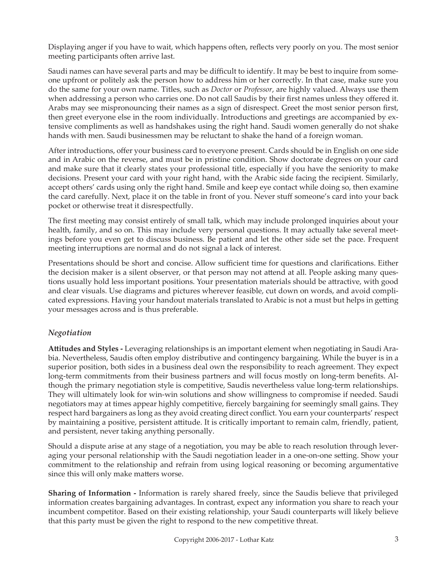Displaying anger if you have to wait, which happens often, reflects very poorly on you. The most senior meeting participants often arrive last.

Saudi names can have several parts and may be difficult to identify. It may be best to inquire from someone upfront or politely ask the person how to address him or her correctly. In that case, make sure you do the same for your own name. Titles, such as *Doctor* or *Professor*, are highly valued. Always use them when addressing a person who carries one. Do not call Saudis by their first names unless they offered it. Arabs may see mispronouncing their names as a sign of disrespect. Greet the most senior person first, then greet everyone else in the room individually. Introductions and greetings are accompanied by extensive compliments as well as handshakes using the right hand. Saudi women generally do not shake hands with men. Saudi businessmen may be reluctant to shake the hand of a foreign woman.

After introductions, offer your business card to everyone present. Cards should be in English on one side and in Arabic on the reverse, and must be in pristine condition. Show doctorate degrees on your card and make sure that it clearly states your professional title, especially if you have the seniority to make decisions. Present your card with your right hand, with the Arabic side facing the recipient. Similarly, accept others' cards using only the right hand. Smile and keep eye contact while doing so, then examine the card carefully. Next, place it on the table in front of you. Never stuff someone's card into your back pocket or otherwise treat it disrespectfully.

The first meeting may consist entirely of small talk, which may include prolonged inquiries about your health, family, and so on. This may include very personal questions. It may actually take several meetings before you even get to discuss business. Be patient and let the other side set the pace. Frequent meeting interruptions are normal and do not signal a lack of interest.

Presentations should be short and concise. Allow sufficient time for questions and clarifications. Either the decision maker is a silent observer, or that person may not attend at all. People asking many questions usually hold less important positions. Your presentation materials should be attractive, with good and clear visuals. Use diagrams and pictures wherever feasible, cut down on words, and avoid complicated expressions. Having your handout materials translated to Arabic is not a must but helps in getting your messages across and is thus preferable.

## *Negotiation*

**Attitudes and Styles -** Leveraging relationships is an important element when negotiating in Saudi Arabia. Nevertheless, Saudis often employ distributive and contingency bargaining. While the buyer is in a superior position, both sides in a business deal own the responsibility to reach agreement. They expect long-term commitments from their business partners and will focus mostly on long-term benefits. Although the primary negotiation style is competitive, Saudis nevertheless value long-term relationships. They will ultimately look for win-win solutions and show willingness to compromise if needed. Saudi negotiators may at times appear highly competitive, fiercely bargaining for seemingly small gains. They respect hard bargainers as long as they avoid creating direct conflict. You earn your counterparts' respect by maintaining a positive, persistent attitude. It is critically important to remain calm, friendly, patient, and persistent, never taking anything personally.

Should a dispute arise at any stage of a negotiation, you may be able to reach resolution through leveraging your personal relationship with the Saudi negotiation leader in a one-on-one setting. Show your commitment to the relationship and refrain from using logical reasoning or becoming argumentative since this will only make matters worse.

**Sharing of Information -** Information is rarely shared freely, since the Saudis believe that privileged information creates bargaining advantages. In contrast, expect any information you share to reach your incumbent competitor. Based on their existing relationship, your Saudi counterparts will likely believe that this party must be given the right to respond to the new competitive threat.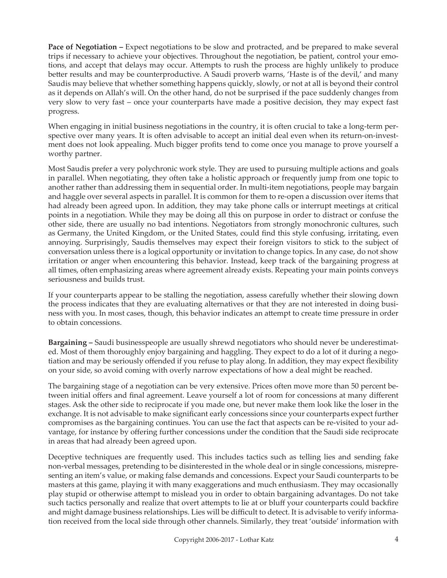**Pace of Negotiation – Expect negotiations to be slow and protracted, and be prepared to make several** trips if necessary to achieve your objectives. Throughout the negotiation, be patient, control your emotions, and accept that delays may occur. Attempts to rush the process are highly unlikely to produce better results and may be counterproductive. A Saudi proverb warns, 'Haste is of the devil,' and many Saudis may believe that whether something happens quickly, slowly, or not at all is beyond their control as it depends on Allah's will. On the other hand, do not be surprised if the pace suddenly changes from very slow to very fast – once your counterparts have made a positive decision, they may expect fast progress.

When engaging in initial business negotiations in the country, it is often crucial to take a long-term perspective over many years. It is often advisable to accept an initial deal even when its return-on-investment does not look appealing. Much bigger profits tend to come once you manage to prove yourself a worthy partner.

Most Saudis prefer a very polychronic work style. They are used to pursuing multiple actions and goals in parallel. When negotiating, they often take a holistic approach or frequently jump from one topic to another rather than addressing them in sequential order. In multi-item negotiations, people may bargain and haggle over several aspects in parallel. It is common for them to re-open a discussion over items that had already been agreed upon. In addition, they may take phone calls or interrupt meetings at critical points in a negotiation. While they may be doing all this on purpose in order to distract or confuse the other side, there are usually no bad intentions. Negotiators from strongly monochronic cultures, such as Germany, the United Kingdom, or the United States, could find this style confusing, irritating, even annoying. Surprisingly, Saudis themselves may expect their foreign visitors to stick to the subject of conversation unless there is a logical opportunity or invitation to change topics. In any case, do not show irritation or anger when encountering this behavior. Instead, keep track of the bargaining progress at all times, often emphasizing areas where agreement already exists. Repeating your main points conveys seriousness and builds trust.

If your counterparts appear to be stalling the negotiation, assess carefully whether their slowing down the process indicates that they are evaluating alternatives or that they are not interested in doing business with you. In most cases, though, this behavior indicates an attempt to create time pressure in order to obtain concessions.

**Bargaining –** Saudi businesspeople are usually shrewd negotiators who should never be underestimated. Most of them thoroughly enjoy bargaining and haggling. They expect to do a lot of it during a negotiation and may be seriously offended if you refuse to play along. In addition, they may expect flexibility on your side, so avoid coming with overly narrow expectations of how a deal might be reached.

The bargaining stage of a negotiation can be very extensive. Prices often move more than 50 percent between initial offers and final agreement. Leave yourself a lot of room for concessions at many different stages. Ask the other side to reciprocate if you made one, but never make them look like the loser in the exchange. It is not advisable to make significant early concessions since your counterparts expect further compromises as the bargaining continues. You can use the fact that aspects can be re-visited to your advantage, for instance by offering further concessions under the condition that the Saudi side reciprocate in areas that had already been agreed upon.

Deceptive techniques are frequently used. This includes tactics such as telling lies and sending fake non-verbal messages, pretending to be disinterested in the whole deal or in single concessions, misrepresenting an item's value, or making false demands and concessions. Expect your Saudi counterparts to be masters at this game, playing it with many exaggerations and much enthusiasm. They may occasionally play stupid or otherwise attempt to mislead you in order to obtain bargaining advantages. Do not take such tactics personally and realize that overt attempts to lie at or bluff your counterparts could backfire and might damage business relationships. Lies will be difficult to detect. It is advisable to verify information received from the local side through other channels. Similarly, they treat 'outside' information with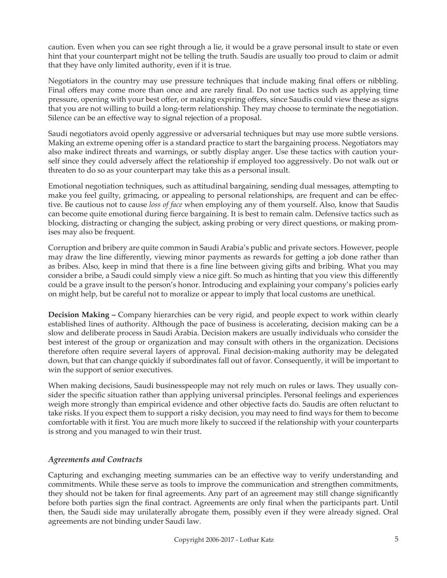caution. Even when you can see right through a lie, it would be a grave personal insult to state or even hint that your counterpart might not be telling the truth. Saudis are usually too proud to claim or admit that they have only limited authority, even if it is true.

Negotiators in the country may use pressure techniques that include making final offers or nibbling. Final offers may come more than once and are rarely final. Do not use tactics such as applying time pressure, opening with your best offer, or making expiring offers, since Saudis could view these as signs that you are not willing to build a long-term relationship. They may choose to terminate the negotiation. Silence can be an effective way to signal rejection of a proposal.

Saudi negotiators avoid openly aggressive or adversarial techniques but may use more subtle versions. Making an extreme opening offer is a standard practice to start the bargaining process. Negotiators may also make indirect threats and warnings, or subtly display anger. Use these tactics with caution yourself since they could adversely affect the relationship if employed too aggressively. Do not walk out or threaten to do so as your counterpart may take this as a personal insult.

Emotional negotiation techniques, such as attitudinal bargaining, sending dual messages, attempting to make you feel guilty, grimacing, or appealing to personal relationships, are frequent and can be effective. Be cautious not to cause *loss of face* when employing any of them yourself. Also, know that Saudis can become quite emotional during fierce bargaining. It is best to remain calm. Defensive tactics such as blocking, distracting or changing the subject, asking probing or very direct questions, or making promises may also be frequent.

Corruption and bribery are quite common in Saudi Arabia's public and private sectors. However, people may draw the line differently, viewing minor payments as rewards for getting a job done rather than as bribes. Also, keep in mind that there is a fine line between giving gifts and bribing. What you may consider a bribe, a Saudi could simply view a nice gift. So much as hinting that you view this differently could be a grave insult to the person's honor. Introducing and explaining your company's policies early on might help, but be careful not to moralize or appear to imply that local customs are unethical.

**Decision Making –** Company hierarchies can be very rigid, and people expect to work within clearly established lines of authority. Although the pace of business is accelerating, decision making can be a slow and deliberate process in Saudi Arabia. Decision makers are usually individuals who consider the best interest of the group or organization and may consult with others in the organization. Decisions therefore often require several layers of approval. Final decision-making authority may be delegated down, but that can change quickly if subordinates fall out of favor. Consequently, it will be important to win the support of senior executives.

When making decisions, Saudi businesspeople may not rely much on rules or laws. They usually consider the specific situation rather than applying universal principles. Personal feelings and experiences weigh more strongly than empirical evidence and other objective facts do. Saudis are often reluctant to take risks. If you expect them to support a risky decision, you may need to find ways for them to become comfortable with it first. You are much more likely to succeed if the relationship with your counterparts is strong and you managed to win their trust.

## *Agreements and Contracts*

Capturing and exchanging meeting summaries can be an effective way to verify understanding and commitments. While these serve as tools to improve the communication and strengthen commitments, they should not be taken for final agreements. Any part of an agreement may still change significantly before both parties sign the final contract. Agreements are only final when the participants part. Until then, the Saudi side may unilaterally abrogate them, possibly even if they were already signed. Oral agreements are not binding under Saudi law.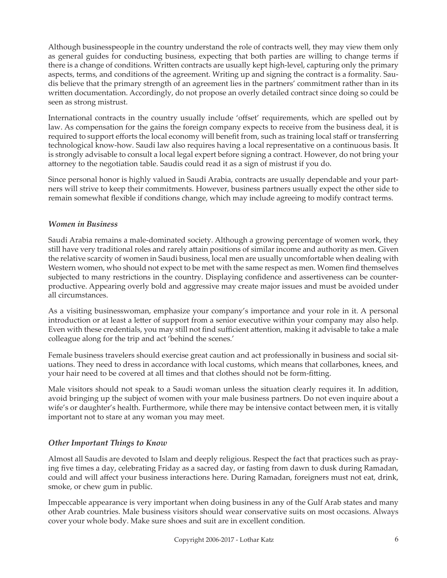Although businesspeople in the country understand the role of contracts well, they may view them only as general guides for conducting business, expecting that both parties are willing to change terms if there is a change of conditions. Written contracts are usually kept high-level, capturing only the primary aspects, terms, and conditions of the agreement. Writing up and signing the contract is a formality. Saudis believe that the primary strength of an agreement lies in the partners' commitment rather than in its written documentation. Accordingly, do not propose an overly detailed contract since doing so could be seen as strong mistrust.

International contracts in the country usually include 'offset' requirements, which are spelled out by law. As compensation for the gains the foreign company expects to receive from the business deal, it is required to support efforts the local economy will benefit from, such as training local staff or transferring technological know-how. Saudi law also requires having a local representative on a continuous basis. It is strongly advisable to consult a local legal expert before signing a contract. However, do not bring your attorney to the negotiation table. Saudis could read it as a sign of mistrust if you do.

Since personal honor is highly valued in Saudi Arabia, contracts are usually dependable and your partners will strive to keep their commitments. However, business partners usually expect the other side to remain somewhat flexible if conditions change, which may include agreeing to modify contract terms.

### *Women in Business*

Saudi Arabia remains a male-dominated society. Although a growing percentage of women work, they still have very traditional roles and rarely attain positions of similar income and authority as men. Given the relative scarcity of women in Saudi business, local men are usually uncomfortable when dealing with Western women, who should not expect to be met with the same respect as men. Women find themselves subjected to many restrictions in the country. Displaying confidence and assertiveness can be counterproductive. Appearing overly bold and aggressive may create major issues and must be avoided under all circumstances.

As a visiting businesswoman, emphasize your company's importance and your role in it. A personal introduction or at least a letter of support from a senior executive within your company may also help. Even with these credentials, you may still not find sufficient attention, making it advisable to take a male colleague along for the trip and act 'behind the scenes.'

Female business travelers should exercise great caution and act professionally in business and social situations. They need to dress in accordance with local customs, which means that collarbones, knees, and your hair need to be covered at all times and that clothes should not be form-fitting.

Male visitors should not speak to a Saudi woman unless the situation clearly requires it. In addition, avoid bringing up the subject of women with your male business partners. Do not even inquire about a wife's or daughter's health. Furthermore, while there may be intensive contact between men, it is vitally important not to stare at any woman you may meet.

## *Other Important Things to Know*

Almost all Saudis are devoted to Islam and deeply religious. Respect the fact that practices such as praying five times a day, celebrating Friday as a sacred day, or fasting from dawn to dusk during Ramadan, could and will affect your business interactions here. During Ramadan, foreigners must not eat, drink, smoke, or chew gum in public.

Impeccable appearance is very important when doing business in any of the Gulf Arab states and many other Arab countries. Male business visitors should wear conservative suits on most occasions. Always cover your whole body. Make sure shoes and suit are in excellent condition.